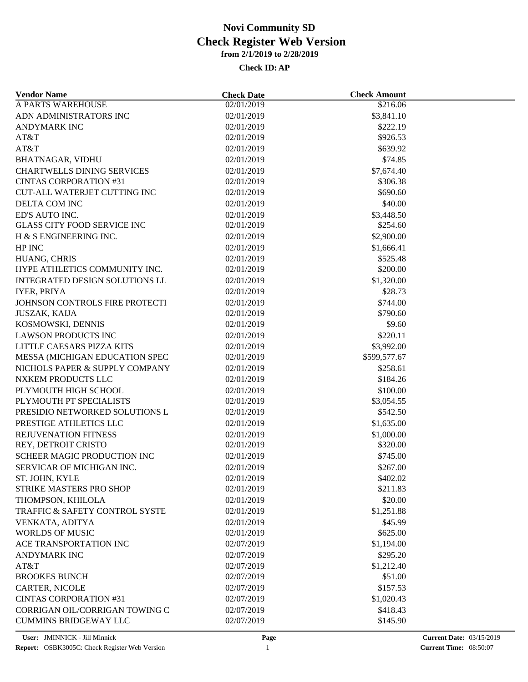| <b>Vendor Name</b>                    | <b>Check Date</b> | <b>Check Amount</b> |  |
|---------------------------------------|-------------------|---------------------|--|
| <b>A PARTS WAREHOUSE</b>              | 02/01/2019        | \$216.06            |  |
| ADN ADMINISTRATORS INC                | 02/01/2019        | \$3,841.10          |  |
| <b>ANDYMARK INC</b>                   | 02/01/2019        | \$222.19            |  |
| AT&T                                  | 02/01/2019        | \$926.53            |  |
| AT&T                                  | 02/01/2019        | \$639.92            |  |
| <b>BHATNAGAR, VIDHU</b>               | 02/01/2019        | \$74.85             |  |
| <b>CHARTWELLS DINING SERVICES</b>     | 02/01/2019        | \$7,674.40          |  |
| <b>CINTAS CORPORATION #31</b>         | 02/01/2019        | \$306.38            |  |
| <b>CUT-ALL WATERJET CUTTING INC</b>   | 02/01/2019        | \$690.60            |  |
| DELTA COM INC                         | 02/01/2019        | \$40.00             |  |
| ED'S AUTO INC.                        | 02/01/2019        | \$3,448.50          |  |
| <b>GLASS CITY FOOD SERVICE INC</b>    | 02/01/2019        | \$254.60            |  |
| H & S ENGINEERING INC.                | 02/01/2019        | \$2,900.00          |  |
| HP INC                                | 02/01/2019        | \$1,666.41          |  |
| HUANG, CHRIS                          | 02/01/2019        | \$525.48            |  |
| HYPE ATHLETICS COMMUNITY INC.         | 02/01/2019        | \$200.00            |  |
| <b>INTEGRATED DESIGN SOLUTIONS LL</b> | 02/01/2019        | \$1,320.00          |  |
| IYER, PRIYA                           | 02/01/2019        | \$28.73             |  |
| JOHNSON CONTROLS FIRE PROTECTI        | 02/01/2019        | \$744.00            |  |
| JUSZAK, KAIJA                         | 02/01/2019        | \$790.60            |  |
| KOSMOWSKI, DENNIS                     | 02/01/2019        | \$9.60              |  |
| <b>LAWSON PRODUCTS INC</b>            |                   | \$220.11            |  |
|                                       | 02/01/2019        |                     |  |
| LITTLE CAESARS PIZZA KITS             | 02/01/2019        | \$3,992.00          |  |
| MESSA (MICHIGAN EDUCATION SPEC        | 02/01/2019        | \$599,577.67        |  |
| NICHOLS PAPER & SUPPLY COMPANY        | 02/01/2019        | \$258.61            |  |
| NXKEM PRODUCTS LLC                    | 02/01/2019        | \$184.26            |  |
| PLYMOUTH HIGH SCHOOL                  | 02/01/2019        | \$100.00            |  |
| PLYMOUTH PT SPECIALISTS               | 02/01/2019        | \$3,054.55          |  |
| PRESIDIO NETWORKED SOLUTIONS L        | 02/01/2019        | \$542.50            |  |
| PRESTIGE ATHLETICS LLC                | 02/01/2019        | \$1,635.00          |  |
| REJUVENATION FITNESS                  | 02/01/2019        | \$1,000.00          |  |
| REY, DETROIT CRISTO                   | 02/01/2019        | \$320.00            |  |
| SCHEER MAGIC PRODUCTION INC           | 02/01/2019        | \$745.00            |  |
| SERVICAR OF MICHIGAN INC.             | 02/01/2019        | \$267.00            |  |
| ST. JOHN, KYLE                        | 02/01/2019        | \$402.02            |  |
| STRIKE MASTERS PRO SHOP               | 02/01/2019        | \$211.83            |  |
| THOMPSON, KHILOLA                     | 02/01/2019        | \$20.00             |  |
| TRAFFIC & SAFETY CONTROL SYSTE        | 02/01/2019        | \$1,251.88          |  |
| VENKATA, ADITYA                       | 02/01/2019        | \$45.99             |  |
| <b>WORLDS OF MUSIC</b>                | 02/01/2019        | \$625.00            |  |
| ACE TRANSPORTATION INC                | 02/07/2019        | \$1,194.00          |  |
| <b>ANDYMARK INC</b>                   | 02/07/2019        | \$295.20            |  |
| AT&T                                  | 02/07/2019        | \$1,212.40          |  |
| <b>BROOKES BUNCH</b>                  | 02/07/2019        | \$51.00             |  |
| <b>CARTER, NICOLE</b>                 | 02/07/2019        | \$157.53            |  |
| <b>CINTAS CORPORATION #31</b>         | 02/07/2019        | \$1,020.43          |  |
| CORRIGAN OIL/CORRIGAN TOWING C        | 02/07/2019        | \$418.43            |  |
| <b>CUMMINS BRIDGEWAY LLC</b>          | 02/07/2019        | \$145.90            |  |
|                                       |                   |                     |  |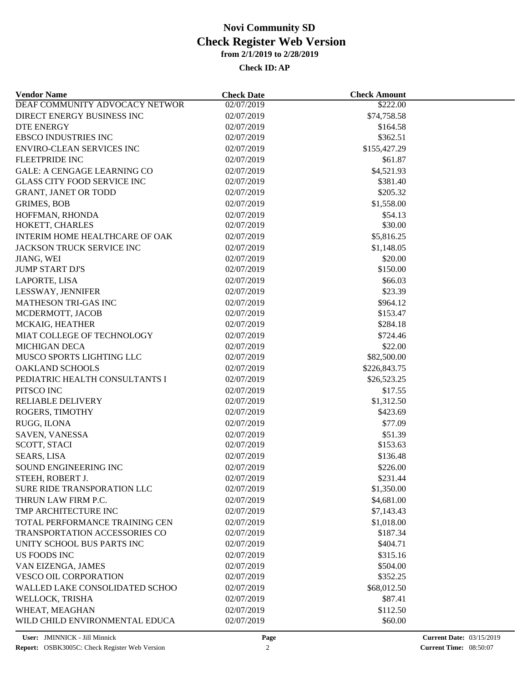| <b>Vendor Name</b>                                | <b>Check Date</b> | <b>Check Amount</b> |  |
|---------------------------------------------------|-------------------|---------------------|--|
| DEAF COMMUNITY ADVOCACY NETWOR                    | 02/07/2019        | \$222.00            |  |
| DIRECT ENERGY BUSINESS INC                        | 02/07/2019        | \$74,758.58         |  |
| <b>DTE ENERGY</b>                                 | 02/07/2019        | \$164.58            |  |
| <b>EBSCO INDUSTRIES INC</b>                       | 02/07/2019        | \$362.51            |  |
| <b>ENVIRO-CLEAN SERVICES INC</b>                  | 02/07/2019        | \$155,427.29        |  |
| FLEETPRIDE INC                                    | 02/07/2019        | \$61.87             |  |
| <b>GALE: A CENGAGE LEARNING CO</b>                | 02/07/2019        | \$4,521.93          |  |
| <b>GLASS CITY FOOD SERVICE INC</b>                | 02/07/2019        | \$381.40            |  |
| <b>GRANT, JANET OR TODD</b>                       | 02/07/2019        | \$205.32            |  |
| <b>GRIMES, BOB</b>                                | 02/07/2019        | \$1,558.00          |  |
| HOFFMAN, RHONDA                                   | 02/07/2019        | \$54.13             |  |
| HOKETT, CHARLES                                   | 02/07/2019        | \$30.00             |  |
| INTERIM HOME HEALTHCARE OF OAK                    | 02/07/2019        | \$5,816.25          |  |
| JACKSON TRUCK SERVICE INC                         | 02/07/2019        | \$1,148.05          |  |
| JIANG, WEI                                        | 02/07/2019        | \$20.00             |  |
| <b>JUMP START DJ'S</b>                            | 02/07/2019        | \$150.00            |  |
| LAPORTE, LISA                                     | 02/07/2019        | \$66.03             |  |
| LESSWAY, JENNIFER                                 | 02/07/2019        | \$23.39             |  |
| MATHESON TRI-GAS INC                              | 02/07/2019        | \$964.12            |  |
| MCDERMOTT, JACOB                                  | 02/07/2019        | \$153.47            |  |
| MCKAIG, HEATHER                                   | 02/07/2019        | \$284.18            |  |
| MIAT COLLEGE OF TECHNOLOGY                        | 02/07/2019        | \$724.46            |  |
|                                                   |                   |                     |  |
| <b>MICHIGAN DECA</b><br>MUSCO SPORTS LIGHTING LLC | 02/07/2019        | \$22.00             |  |
|                                                   | 02/07/2019        | \$82,500.00         |  |
| <b>OAKLAND SCHOOLS</b>                            | 02/07/2019        | \$226,843.75        |  |
| PEDIATRIC HEALTH CONSULTANTS I                    | 02/07/2019        | \$26,523.25         |  |
| PITSCO INC                                        | 02/07/2019        | \$17.55             |  |
| <b>RELIABLE DELIVERY</b>                          | 02/07/2019        | \$1,312.50          |  |
| ROGERS, TIMOTHY                                   | 02/07/2019        | \$423.69            |  |
| RUGG, ILONA                                       | 02/07/2019        | \$77.09             |  |
| SAVEN, VANESSA                                    | 02/07/2019        | \$51.39             |  |
| SCOTT, STACI                                      | 02/07/2019        | \$153.63            |  |
| <b>SEARS, LISA</b>                                | 02/07/2019        | \$136.48            |  |
| SOUND ENGINEERING INC                             | 02/07/2019        | \$226.00            |  |
| STEEH, ROBERT J.                                  | 02/07/2019        | \$231.44            |  |
| SURE RIDE TRANSPORATION LLC                       | 02/07/2019        | \$1,350.00          |  |
| THRUN LAW FIRM P.C.                               | 02/07/2019        | \$4,681.00          |  |
| TMP ARCHITECTURE INC                              | 02/07/2019        | \$7,143.43          |  |
| TOTAL PERFORMANCE TRAINING CEN                    | 02/07/2019        | \$1,018.00          |  |
| TRANSPORTATION ACCESSORIES CO                     | 02/07/2019        | \$187.34            |  |
| UNITY SCHOOL BUS PARTS INC                        | 02/07/2019        | \$404.71            |  |
| US FOODS INC                                      | 02/07/2019        | \$315.16            |  |
| VAN EIZENGA, JAMES                                | 02/07/2019        | \$504.00            |  |
| <b>VESCO OIL CORPORATION</b>                      | 02/07/2019        | \$352.25            |  |
| WALLED LAKE CONSOLIDATED SCHOO                    | 02/07/2019        | \$68,012.50         |  |
| WELLOCK, TRISHA                                   | 02/07/2019        | \$87.41             |  |
| WHEAT, MEAGHAN                                    | 02/07/2019        | \$112.50            |  |
| WILD CHILD ENVIRONMENTAL EDUCA                    | 02/07/2019        | \$60.00             |  |
|                                                   |                   |                     |  |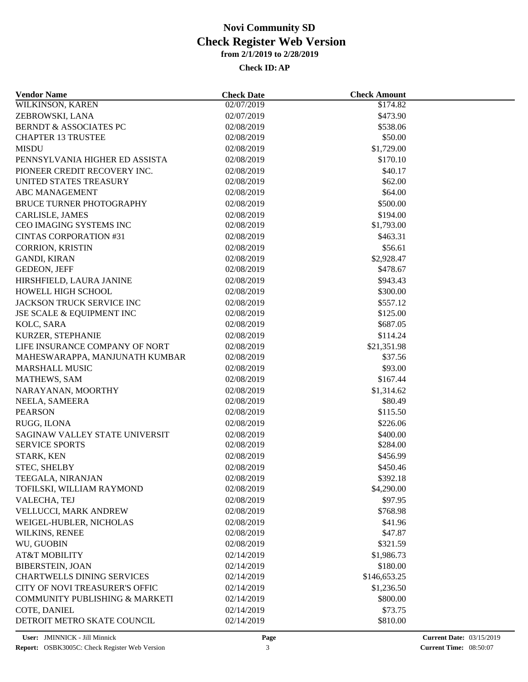| <b>Vendor Name</b>                        | <b>Check Date</b> | <b>Check Amount</b>    |  |
|-------------------------------------------|-------------------|------------------------|--|
| <b>WILKINSON, KAREN</b>                   | 02/07/2019        | \$174.82               |  |
| ZEBROWSKI, LANA                           | 02/07/2019        | \$473.90               |  |
| <b>BERNDT &amp; ASSOCIATES PC</b>         | 02/08/2019        | \$538.06               |  |
| <b>CHAPTER 13 TRUSTEE</b>                 | 02/08/2019        | \$50.00                |  |
| <b>MISDU</b>                              | 02/08/2019        | \$1,729.00             |  |
| PENNSYLVANIA HIGHER ED ASSISTA            | 02/08/2019        | \$170.10               |  |
| PIONEER CREDIT RECOVERY INC.              | 02/08/2019        | \$40.17                |  |
| UNITED STATES TREASURY                    | 02/08/2019        | \$62.00                |  |
| <b>ABC MANAGEMENT</b>                     | 02/08/2019        | \$64.00                |  |
| <b>BRUCE TURNER PHOTOGRAPHY</b>           | 02/08/2019        | \$500.00               |  |
| <b>CARLISLE, JAMES</b>                    | 02/08/2019        | \$194.00               |  |
| CEO IMAGING SYSTEMS INC                   | 02/08/2019        | \$1,793.00             |  |
| <b>CINTAS CORPORATION #31</b>             | 02/08/2019        | \$463.31               |  |
| <b>CORRION, KRISTIN</b>                   | 02/08/2019        | \$56.61                |  |
| <b>GANDI, KIRAN</b>                       | 02/08/2019        | \$2,928.47             |  |
| <b>GEDEON, JEFF</b>                       | 02/08/2019        | \$478.67               |  |
| HIRSHFIELD, LAURA JANINE                  | 02/08/2019        | \$943.43               |  |
| HOWELL HIGH SCHOOL                        | 02/08/2019        | \$300.00               |  |
| <b>JACKSON TRUCK SERVICE INC</b>          | 02/08/2019        | \$557.12               |  |
| JSE SCALE & EQUIPMENT INC                 | 02/08/2019        | \$125.00               |  |
| KOLC, SARA                                | 02/08/2019        | \$687.05               |  |
| KURZER, STEPHANIE                         | 02/08/2019        | \$114.24               |  |
| LIFE INSURANCE COMPANY OF NORT            | 02/08/2019        |                        |  |
| MAHESWARAPPA, MANJUNATH KUMBAR            | 02/08/2019        | \$21,351.98<br>\$37.56 |  |
| <b>MARSHALL MUSIC</b>                     | 02/08/2019        | \$93.00                |  |
|                                           |                   |                        |  |
| MATHEWS, SAM                              | 02/08/2019        | \$167.44               |  |
| NARAYANAN, MOORTHY                        | 02/08/2019        | \$1,314.62             |  |
| NEELA, SAMEERA                            | 02/08/2019        | \$80.49                |  |
| <b>PEARSON</b>                            | 02/08/2019        | \$115.50               |  |
| RUGG, ILONA                               | 02/08/2019        | \$226.06               |  |
| SAGINAW VALLEY STATE UNIVERSIT            | 02/08/2019        | \$400.00               |  |
| <b>SERVICE SPORTS</b>                     | 02/08/2019        | \$284.00               |  |
| STARK, KEN                                | 02/08/2019        | \$456.99               |  |
| STEC, SHELBY                              | 02/08/2019        | \$450.46               |  |
| TEEGALA, NIRANJAN                         | 02/08/2019        | \$392.18               |  |
| TOFILSKI, WILLIAM RAYMOND                 | 02/08/2019        | \$4,290.00             |  |
| VALECHA, TEJ                              | 02/08/2019        | \$97.95                |  |
| VELLUCCI, MARK ANDREW                     | 02/08/2019        | \$768.98               |  |
| WEIGEL-HUBLER, NICHOLAS                   | 02/08/2019        | \$41.96                |  |
| WILKINS, RENEE                            | 02/08/2019        | \$47.87                |  |
| WU, GUOBIN                                | 02/08/2019        | \$321.59               |  |
| <b>AT&amp;T MOBILITY</b>                  | 02/14/2019        | \$1,986.73             |  |
| <b>BIBERSTEIN, JOAN</b>                   | 02/14/2019        | \$180.00               |  |
| <b>CHARTWELLS DINING SERVICES</b>         | 02/14/2019        | \$146,653.25           |  |
| <b>CITY OF NOVI TREASURER'S OFFIC</b>     | 02/14/2019        | \$1,236.50             |  |
| <b>COMMUNITY PUBLISHING &amp; MARKETI</b> | 02/14/2019        | \$800.00               |  |
| COTE, DANIEL                              | 02/14/2019        | \$73.75                |  |
| DETROIT METRO SKATE COUNCIL               | 02/14/2019        | \$810.00               |  |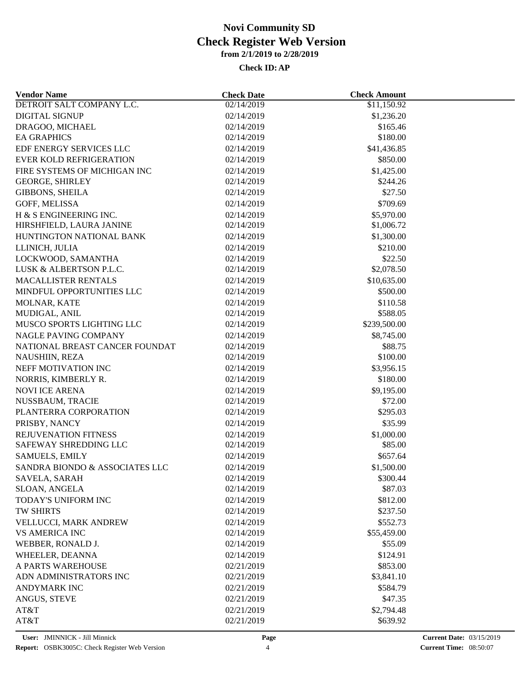| DETROIT SALT COMPANY L.C.      | 02/14/2019               | \$11,150.92  |
|--------------------------------|--------------------------|--------------|
| <b>DIGITAL SIGNUP</b>          | 02/14/2019               | \$1,236.20   |
| DRAGOO, MICHAEL                | 02/14/2019               | \$165.46     |
| <b>EA GRAPHICS</b>             | 02/14/2019               | \$180.00     |
| EDF ENERGY SERVICES LLC        | 02/14/2019               | \$41,436.85  |
| <b>EVER KOLD REFRIGERATION</b> | 02/14/2019               | \$850.00     |
| FIRE SYSTEMS OF MICHIGAN INC   | 02/14/2019               | \$1,425.00   |
| <b>GEORGE, SHIRLEY</b>         | 02/14/2019               | \$244.26     |
| <b>GIBBONS, SHEILA</b>         | 02/14/2019               | \$27.50      |
| GOFF, MELISSA                  | 02/14/2019               | \$709.69     |
| H & S ENGINEERING INC.         | 02/14/2019               | \$5,970.00   |
| HIRSHFIELD, LAURA JANINE       | 02/14/2019               | \$1,006.72   |
| HUNTINGTON NATIONAL BANK       | 02/14/2019               | \$1,300.00   |
| LLINICH, JULIA                 | 02/14/2019               | \$210.00     |
| LOCKWOOD, SAMANTHA             | 02/14/2019               | \$22.50      |
| LUSK & ALBERTSON P.L.C.        | 02/14/2019               | \$2,078.50   |
| <b>MACALLISTER RENTALS</b>     | 02/14/2019               | \$10,635.00  |
| MINDFUL OPPORTUNITIES LLC      | 02/14/2019               | \$500.00     |
| MOLNAR, KATE                   | 02/14/2019               | \$110.58     |
| MUDIGAL, ANIL                  | 02/14/2019               | \$588.05     |
| MUSCO SPORTS LIGHTING LLC      | 02/14/2019               | \$239,500.00 |
| NAGLE PAVING COMPANY           | 02/14/2019               | \$8,745.00   |
| NATIONAL BREAST CANCER FOUNDAT |                          | \$88.75      |
| NAUSHIIN, REZA                 | 02/14/2019<br>02/14/2019 | \$100.00     |
| NEFF MOTIVATION INC            | 02/14/2019               | \$3,956.15   |
|                                |                          |              |
| NORRIS, KIMBERLY R.            | 02/14/2019               | \$180.00     |
| <b>NOVI ICE ARENA</b>          | 02/14/2019               | \$9,195.00   |
| NUSSBAUM, TRACIE               | 02/14/2019               | \$72.00      |
| PLANTERRA CORPORATION          | 02/14/2019               | \$295.03     |
| PRISBY, NANCY                  | 02/14/2019               | \$35.99      |
| REJUVENATION FITNESS           | 02/14/2019               | \$1,000.00   |
| SAFEWAY SHREDDING LLC          | 02/14/2019               | \$85.00      |
| <b>SAMUELS, EMILY</b>          | 02/14/2019               | \$657.64     |
| SANDRA BIONDO & ASSOCIATES LLC | 02/14/2019               | \$1,500.00   |
| SAVELA, SARAH                  | 02/14/2019               | \$300.44     |
| SLOAN, ANGELA                  | 02/14/2019               | \$87.03      |
| TODAY'S UNIFORM INC            | 02/14/2019               | \$812.00     |
| TW SHIRTS                      | 02/14/2019               | \$237.50     |
| VELLUCCI, MARK ANDREW          | 02/14/2019               | \$552.73     |
| <b>VS AMERICA INC</b>          | 02/14/2019               | \$55,459.00  |
| WEBBER, RONALD J.              | 02/14/2019               | \$55.09      |
| WHEELER, DEANNA                | 02/14/2019               | \$124.91     |
| A PARTS WAREHOUSE              | 02/21/2019               | \$853.00     |
| ADN ADMINISTRATORS INC         | 02/21/2019               | \$3,841.10   |
| <b>ANDYMARK INC</b>            | 02/21/2019               | \$584.79     |
| ANGUS, STEVE                   | 02/21/2019               | \$47.35      |
| AT&T                           | 02/21/2019               | \$2,794.48   |
| AT&T                           | 02/21/2019               | \$639.92     |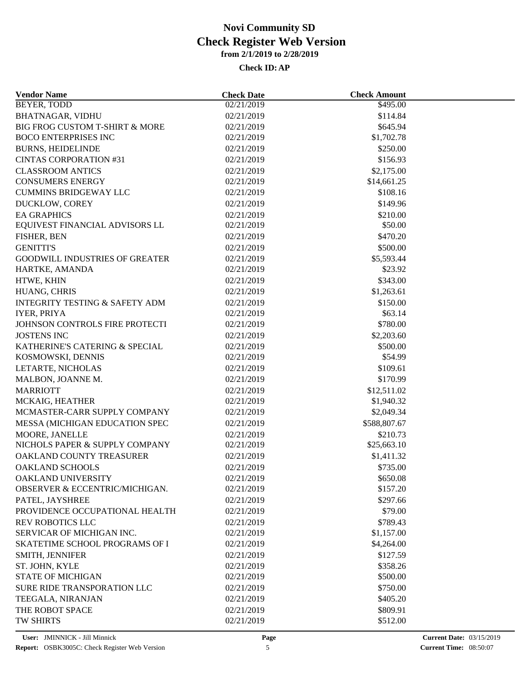| <b>Vendor Name</b>                               | <b>Check Date</b> | <b>Check Amount</b>       |  |
|--------------------------------------------------|-------------------|---------------------------|--|
| BEYER, TODD                                      | 02/21/2019        | \$495.00                  |  |
| <b>BHATNAGAR, VIDHU</b>                          | 02/21/2019        | \$114.84                  |  |
| BIG FROG CUSTOM T-SHIRT & MORE                   | 02/21/2019        | \$645.94                  |  |
| <b>BOCO ENTERPRISES INC</b>                      | 02/21/2019        | \$1,702.78                |  |
| <b>BURNS, HEIDELINDE</b>                         | 02/21/2019        | \$250.00                  |  |
| <b>CINTAS CORPORATION #31</b>                    | 02/21/2019        | \$156.93                  |  |
| <b>CLASSROOM ANTICS</b>                          | 02/21/2019        | \$2,175.00                |  |
| <b>CONSUMERS ENERGY</b>                          | 02/21/2019        | \$14,661.25               |  |
| <b>CUMMINS BRIDGEWAY LLC</b>                     | 02/21/2019        | \$108.16                  |  |
| DUCKLOW, COREY                                   | 02/21/2019        | \$149.96                  |  |
| <b>EA GRAPHICS</b>                               | 02/21/2019        | \$210.00                  |  |
| EQUIVEST FINANCIAL ADVISORS LL                   | 02/21/2019        | \$50.00                   |  |
| FISHER, BEN                                      | 02/21/2019        | \$470.20                  |  |
| <b>GENITTI'S</b>                                 | 02/21/2019        | \$500.00                  |  |
| <b>GOODWILL INDUSTRIES OF GREATER</b>            | 02/21/2019        | \$5,593.44                |  |
| HARTKE, AMANDA                                   | 02/21/2019        | \$23.92                   |  |
| HTWE, KHIN                                       | 02/21/2019        | \$343.00                  |  |
| HUANG, CHRIS                                     | 02/21/2019        | \$1,263.61                |  |
| <b>INTEGRITY TESTING &amp; SAFETY ADM</b>        | 02/21/2019        | \$150.00                  |  |
| <b>IYER, PRIYA</b>                               | 02/21/2019        | \$63.14                   |  |
| JOHNSON CONTROLS FIRE PROTECTI                   | 02/21/2019        | \$780.00                  |  |
| <b>JOSTENS INC</b>                               | 02/21/2019        | \$2,203.60                |  |
| KATHERINE'S CATERING & SPECIAL                   | 02/21/2019        | \$500.00                  |  |
| KOSMOWSKI, DENNIS                                | 02/21/2019        | \$54.99                   |  |
| LETARTE, NICHOLAS                                | 02/21/2019        | \$109.61                  |  |
| MALBON, JOANNE M.                                | 02/21/2019        | \$170.99                  |  |
| <b>MARRIOTT</b>                                  | 02/21/2019        |                           |  |
| MCKAIG, HEATHER                                  | 02/21/2019        | \$12,511.02<br>\$1,940.32 |  |
| MCMASTER-CARR SUPPLY COMPANY                     | 02/21/2019        | \$2,049.34                |  |
|                                                  |                   |                           |  |
| MESSA (MICHIGAN EDUCATION SPEC                   | 02/21/2019        | \$588,807.67              |  |
| MOORE, JANELLE<br>NICHOLS PAPER & SUPPLY COMPANY | 02/21/2019        | \$210.73                  |  |
|                                                  | 02/21/2019        | \$25,663.10               |  |
| OAKLAND COUNTY TREASURER                         | 02/21/2019        | \$1,411.32                |  |
| OAKLAND SCHOOLS                                  | 02/21/2019        | \$735.00                  |  |
| OAKLAND UNIVERSITY                               | 02/21/2019        | \$650.08                  |  |
| <b>OBSERVER &amp; ECCENTRIC/MICHIGAN.</b>        | 02/21/2019        | \$157.20                  |  |
| PATEL, JAYSHREE                                  | 02/21/2019        | \$297.66                  |  |
| PROVIDENCE OCCUPATIONAL HEALTH                   | 02/21/2019        | \$79.00                   |  |
| <b>REV ROBOTICS LLC</b>                          | 02/21/2019        | \$789.43                  |  |
| SERVICAR OF MICHIGAN INC.                        | 02/21/2019        | \$1,157.00                |  |
| SKATETIME SCHOOL PROGRAMS OF I                   | 02/21/2019        | \$4,264.00                |  |
| <b>SMITH, JENNIFER</b>                           | 02/21/2019        | \$127.59                  |  |
| ST. JOHN, KYLE                                   | 02/21/2019        | \$358.26                  |  |
| <b>STATE OF MICHIGAN</b>                         | 02/21/2019        | \$500.00                  |  |
| SURE RIDE TRANSPORATION LLC                      | 02/21/2019        | \$750.00                  |  |
| TEEGALA, NIRANJAN                                | 02/21/2019        | \$405.20                  |  |
| THE ROBOT SPACE                                  | 02/21/2019        | \$809.91                  |  |
| TW SHIRTS                                        | 02/21/2019        | \$512.00                  |  |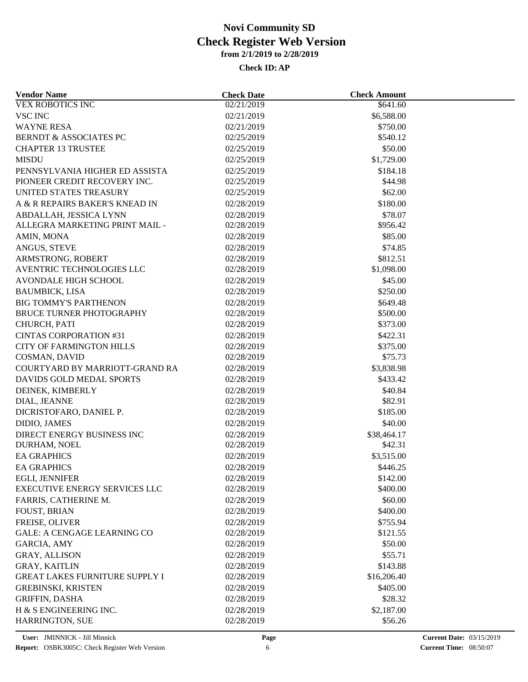| <b>Vendor Name</b>                                   | <b>Check Date</b>        | <b>Check Amount</b>  |  |
|------------------------------------------------------|--------------------------|----------------------|--|
| <b>VEX ROBOTICS INC</b>                              | 02/21/2019               | \$641.60             |  |
| <b>VSC INC</b>                                       | 02/21/2019               | \$6,588.00           |  |
| <b>WAYNE RESA</b>                                    | 02/21/2019               | \$750.00             |  |
| <b>BERNDT &amp; ASSOCIATES PC</b>                    | 02/25/2019               | \$540.12             |  |
| <b>CHAPTER 13 TRUSTEE</b>                            | 02/25/2019               | \$50.00              |  |
| <b>MISDU</b>                                         | 02/25/2019               | \$1,729.00           |  |
| PENNSYLVANIA HIGHER ED ASSISTA                       | 02/25/2019               | \$184.18             |  |
| PIONEER CREDIT RECOVERY INC.                         | 02/25/2019               | \$44.98              |  |
| UNITED STATES TREASURY                               | 02/25/2019               | \$62.00              |  |
| A & R REPAIRS BAKER'S KNEAD IN                       | 02/28/2019               | \$180.00             |  |
| ABDALLAH, JESSICA LYNN                               | 02/28/2019               | \$78.07              |  |
| ALLEGRA MARKETING PRINT MAIL -                       | 02/28/2019               | \$956.42             |  |
| AMIN, MONA                                           | 02/28/2019               | \$85.00              |  |
| ANGUS, STEVE                                         | 02/28/2019               | \$74.85              |  |
| ARMSTRONG, ROBERT                                    | 02/28/2019               | \$812.51             |  |
| AVENTRIC TECHNOLOGIES LLC                            | 02/28/2019               | \$1,098.00           |  |
| <b>AVONDALE HIGH SCHOOL</b>                          | 02/28/2019               | \$45.00              |  |
| <b>BAUMBICK, LISA</b>                                | 02/28/2019               | \$250.00             |  |
| <b>BIG TOMMY'S PARTHENON</b>                         | 02/28/2019               | \$649.48             |  |
| <b>BRUCE TURNER PHOTOGRAPHY</b>                      | 02/28/2019               | \$500.00             |  |
| CHURCH, PATI                                         | 02/28/2019               | \$373.00             |  |
| <b>CINTAS CORPORATION #31</b>                        | 02/28/2019               | \$422.31             |  |
| <b>CITY OF FARMINGTON HILLS</b>                      | 02/28/2019               | \$375.00             |  |
| COSMAN, DAVID                                        | 02/28/2019               | \$75.73              |  |
| COURTYARD BY MARRIOTT-GRAND RA                       | 02/28/2019               | \$3,838.98           |  |
| DAVIDS GOLD MEDAL SPORTS                             | 02/28/2019               | \$433.42             |  |
| DEINEK, KIMBERLY                                     | 02/28/2019               | \$40.84              |  |
| DIAL, JEANNE                                         | 02/28/2019               | \$82.91              |  |
| DICRISTOFARO, DANIEL P.                              | 02/28/2019               | \$185.00             |  |
| DIDIO, JAMES                                         | 02/28/2019               | \$40.00              |  |
| DIRECT ENERGY BUSINESS INC                           | 02/28/2019               | \$38,464.17          |  |
| DURHAM, NOEL                                         | 02/28/2019               | \$42.31              |  |
| <b>EA GRAPHICS</b>                                   | 02/28/2019               | \$3,515.00           |  |
| <b>EA GRAPHICS</b>                                   | 02/28/2019               | \$446.25             |  |
| EGLI, JENNIFER                                       | 02/28/2019               | \$142.00             |  |
| <b>EXECUTIVE ENERGY SERVICES LLC</b>                 | 02/28/2019               | \$400.00             |  |
| FARRIS, CATHERINE M.                                 | 02/28/2019               | \$60.00              |  |
| <b>FOUST, BRIAN</b>                                  | 02/28/2019               | \$400.00             |  |
|                                                      |                          |                      |  |
| FREISE, OLIVER<br><b>GALE: A CENGAGE LEARNING CO</b> | 02/28/2019<br>02/28/2019 | \$755.94<br>\$121.55 |  |
|                                                      |                          |                      |  |
| <b>GARCIA, AMY</b>                                   | 02/28/2019               | \$50.00              |  |
| GRAY, ALLISON                                        | 02/28/2019               | \$55.71              |  |
| <b>GRAY, KAITLIN</b>                                 | 02/28/2019               | \$143.88             |  |
| <b>GREAT LAKES FURNITURE SUPPLY I</b>                | 02/28/2019               | \$16,206.40          |  |
| <b>GREBINSKI, KRISTEN</b>                            | 02/28/2019               | \$405.00             |  |
| <b>GRIFFIN, DASHA</b>                                | 02/28/2019               | \$28.32              |  |
| H & S ENGINEERING INC.                               | 02/28/2019               | \$2,187.00           |  |
| HARRINGTON, SUE                                      | 02/28/2019               | \$56.26              |  |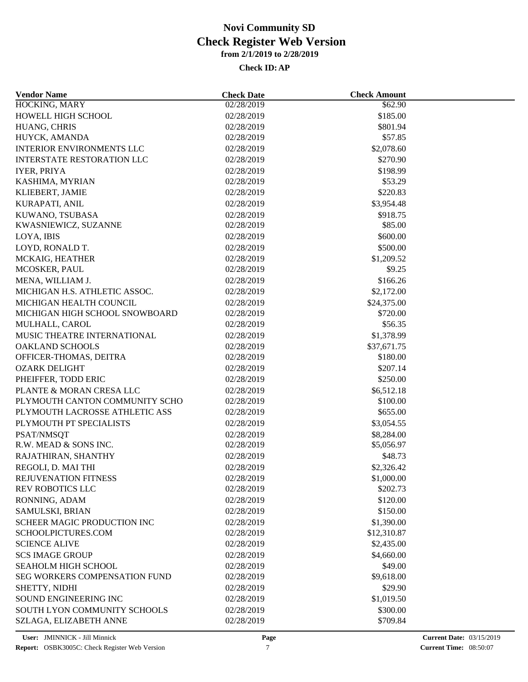| <b>Vendor Name</b>                   | <b>Check Date</b> | <b>Check Amount</b> |  |
|--------------------------------------|-------------------|---------------------|--|
| HOCKING, MARY                        | 02/28/2019        | \$62.90             |  |
| HOWELL HIGH SCHOOL                   | 02/28/2019        | \$185.00            |  |
| HUANG, CHRIS                         | 02/28/2019        | \$801.94            |  |
| HUYCK, AMANDA                        | 02/28/2019        | \$57.85             |  |
| <b>INTERIOR ENVIRONMENTS LLC</b>     | 02/28/2019        | \$2,078.60          |  |
| <b>INTERSTATE RESTORATION LLC</b>    | 02/28/2019        | \$270.90            |  |
| <b>IYER, PRIYA</b>                   | 02/28/2019        | \$198.99            |  |
| KASHIMA, MYRIAN                      | 02/28/2019        | \$53.29             |  |
| KLIEBERT, JAMIE                      | 02/28/2019        | \$220.83            |  |
| KURAPATI, ANIL                       | 02/28/2019        | \$3,954.48          |  |
| KUWANO, TSUBASA                      | 02/28/2019        | \$918.75            |  |
| KWASNIEWICZ, SUZANNE                 | 02/28/2019        | \$85.00             |  |
| LOYA, IBIS                           | 02/28/2019        | \$600.00            |  |
| LOYD, RONALD T.                      | 02/28/2019        | \$500.00            |  |
| MCKAIG, HEATHER                      | 02/28/2019        | \$1,209.52          |  |
| MCOSKER, PAUL                        | 02/28/2019        | \$9.25              |  |
| MENA, WILLIAM J.                     | 02/28/2019        | \$166.26            |  |
| MICHIGAN H.S. ATHLETIC ASSOC.        | 02/28/2019        | \$2,172.00          |  |
| MICHIGAN HEALTH COUNCIL              | 02/28/2019        | \$24,375.00         |  |
| MICHIGAN HIGH SCHOOL SNOWBOARD       | 02/28/2019        | \$720.00            |  |
| MULHALL, CAROL                       | 02/28/2019        | \$56.35             |  |
| MUSIC THEATRE INTERNATIONAL          | 02/28/2019        | \$1,378.99          |  |
| <b>OAKLAND SCHOOLS</b>               | 02/28/2019        | \$37,671.75         |  |
| OFFICER-THOMAS, DEITRA               | 02/28/2019        | \$180.00            |  |
| <b>OZARK DELIGHT</b>                 | 02/28/2019        | \$207.14            |  |
| PHEIFFER, TODD ERIC                  | 02/28/2019        | \$250.00            |  |
| PLANTE & MORAN CRESA LLC             | 02/28/2019        | \$6,512.18          |  |
| PLYMOUTH CANTON COMMUNITY SCHO       | 02/28/2019        | \$100.00            |  |
| PLYMOUTH LACROSSE ATHLETIC ASS       | 02/28/2019        | \$655.00            |  |
| PLYMOUTH PT SPECIALISTS              | 02/28/2019        | \$3,054.55          |  |
| PSAT/NMSQT                           | 02/28/2019        | \$8,284.00          |  |
| R.W. MEAD & SONS INC.                | 02/28/2019        | \$5,056.97          |  |
| RAJATHIRAN, SHANTHY                  | 02/28/2019        | \$48.73             |  |
| REGOLI, D. MAI THI                   | 02/28/2019        | \$2,326.42          |  |
| REJUVENATION FITNESS                 | 02/28/2019        | \$1,000.00          |  |
| <b>REV ROBOTICS LLC</b>              | 02/28/2019        | \$202.73            |  |
| RONNING, ADAM                        | 02/28/2019        | \$120.00            |  |
| SAMULSKI, BRIAN                      | 02/28/2019        | \$150.00            |  |
| <b>SCHEER MAGIC PRODUCTION INC</b>   | 02/28/2019        | \$1,390.00          |  |
| SCHOOLPICTURES.COM                   | 02/28/2019        | \$12,310.87         |  |
| <b>SCIENCE ALIVE</b>                 | 02/28/2019        | \$2,435.00          |  |
| <b>SCS IMAGE GROUP</b>               | 02/28/2019        | \$4,660.00          |  |
|                                      |                   |                     |  |
| <b>SEAHOLM HIGH SCHOOL</b>           | 02/28/2019        | \$49.00             |  |
| <b>SEG WORKERS COMPENSATION FUND</b> | 02/28/2019        | \$9,618.00          |  |
| SHETTY, NIDHI                        | 02/28/2019        | \$29.90             |  |
| SOUND ENGINEERING INC                | 02/28/2019        | \$1,019.50          |  |
| SOUTH LYON COMMUNITY SCHOOLS         | 02/28/2019        | \$300.00            |  |
| SZLAGA, ELIZABETH ANNE               | 02/28/2019        | \$709.84            |  |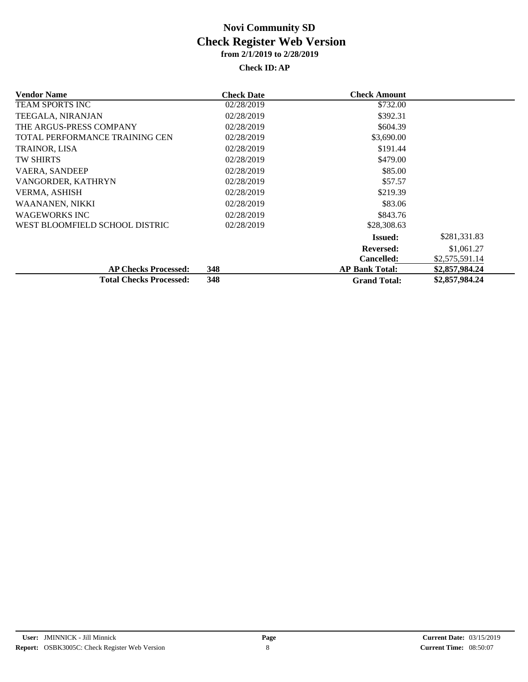| <b>Vendor Name</b>             | <b>Check Date</b> | <b>Check Amount</b>   |                |
|--------------------------------|-------------------|-----------------------|----------------|
| <b>TEAM SPORTS INC</b>         | 02/28/2019        | \$732.00              |                |
| TEEGALA, NIRANJAN              | 02/28/2019        | \$392.31              |                |
| THE ARGUS-PRESS COMPANY        | 02/28/2019        | \$604.39              |                |
| TOTAL PERFORMANCE TRAINING CEN | 02/28/2019        | \$3,690.00            |                |
| TRAINOR, LISA                  | 02/28/2019        | \$191.44              |                |
| <b>TW SHIRTS</b>               | 02/28/2019        | \$479.00              |                |
| <b>VAERA, SANDEEP</b>          | 02/28/2019        | \$85.00               |                |
| VANGORDER, KATHRYN             | 02/28/2019        | \$57.57               |                |
| VERMA, ASHISH                  | 02/28/2019        | \$219.39              |                |
| WAANANEN, NIKKI                | 02/28/2019        | \$83.06               |                |
| <b>WAGEWORKS INC</b>           | 02/28/2019        | \$843.76              |                |
| WEST BLOOMFIELD SCHOOL DISTRIC | 02/28/2019        | \$28,308.63           |                |
|                                |                   | <b>Issued:</b>        | \$281,331.83   |
|                                |                   | <b>Reversed:</b>      | \$1,061.27     |
|                                |                   | <b>Cancelled:</b>     | \$2,575,591.14 |
| <b>AP Checks Processed:</b>    | 348               | <b>AP Bank Total:</b> | \$2,857,984.24 |
| <b>Total Checks Processed:</b> | 348               | <b>Grand Total:</b>   | \$2,857,984.24 |